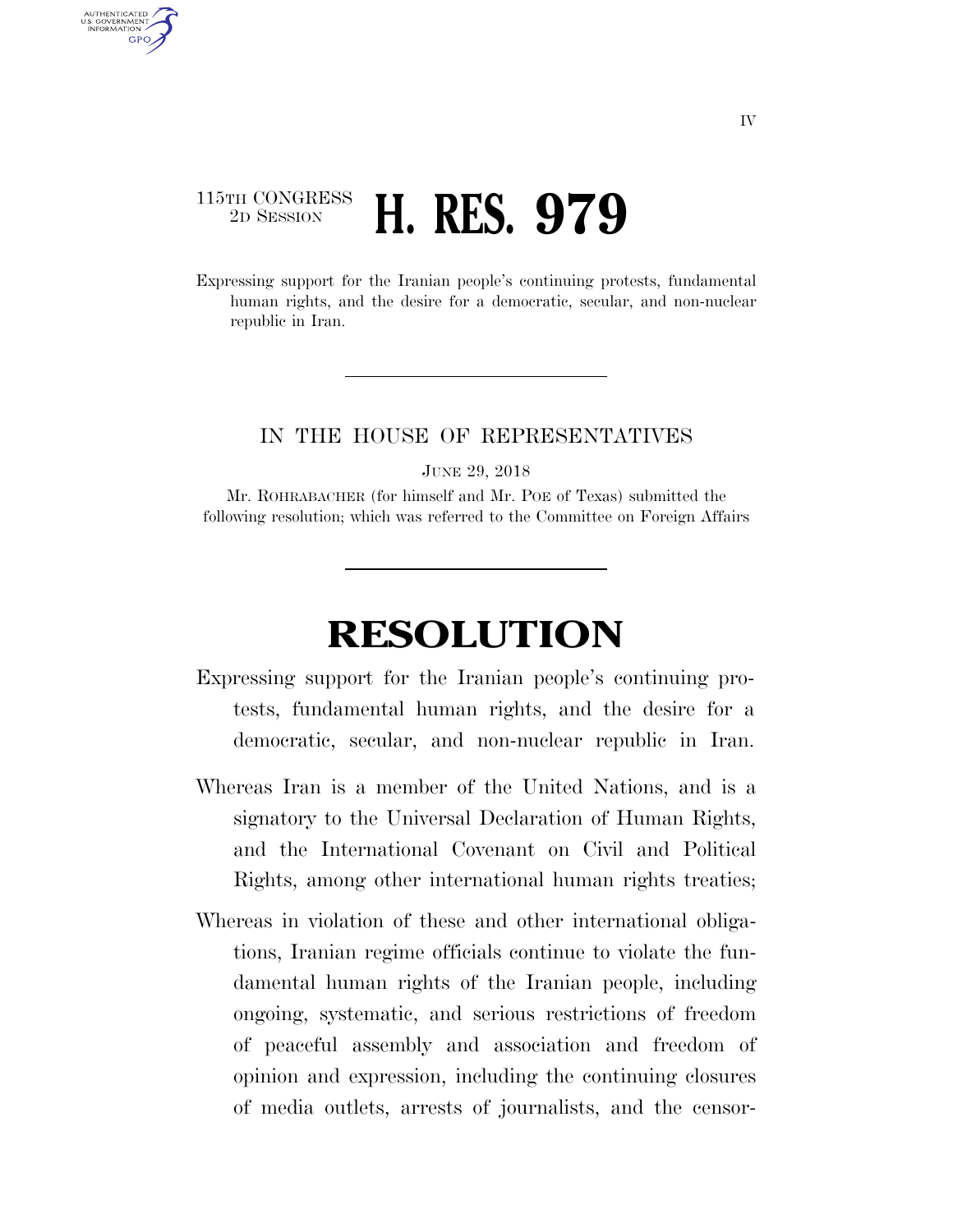## 115TH CONGRESS <sup>2D SESSION</sup> **H. RES. 979**

AUTHENTICATED U.S. GOVERNMENT GPO

> Expressing support for the Iranian people's continuing protests, fundamental human rights, and the desire for a democratic, secular, and non-nuclear republic in Iran.

## IN THE HOUSE OF REPRESENTATIVES

JUNE 29, 2018

Mr. ROHRABACHER (for himself and Mr. POE of Texas) submitted the following resolution; which was referred to the Committee on Foreign Affairs

## **RESOLUTION**

- Expressing support for the Iranian people's continuing protests, fundamental human rights, and the desire for a democratic, secular, and non-nuclear republic in Iran.
- Whereas Iran is a member of the United Nations, and is a signatory to the Universal Declaration of Human Rights, and the International Covenant on Civil and Political Rights, among other international human rights treaties;
- Whereas in violation of these and other international obligations, Iranian regime officials continue to violate the fundamental human rights of the Iranian people, including ongoing, systematic, and serious restrictions of freedom of peaceful assembly and association and freedom of opinion and expression, including the continuing closures of media outlets, arrests of journalists, and the censor-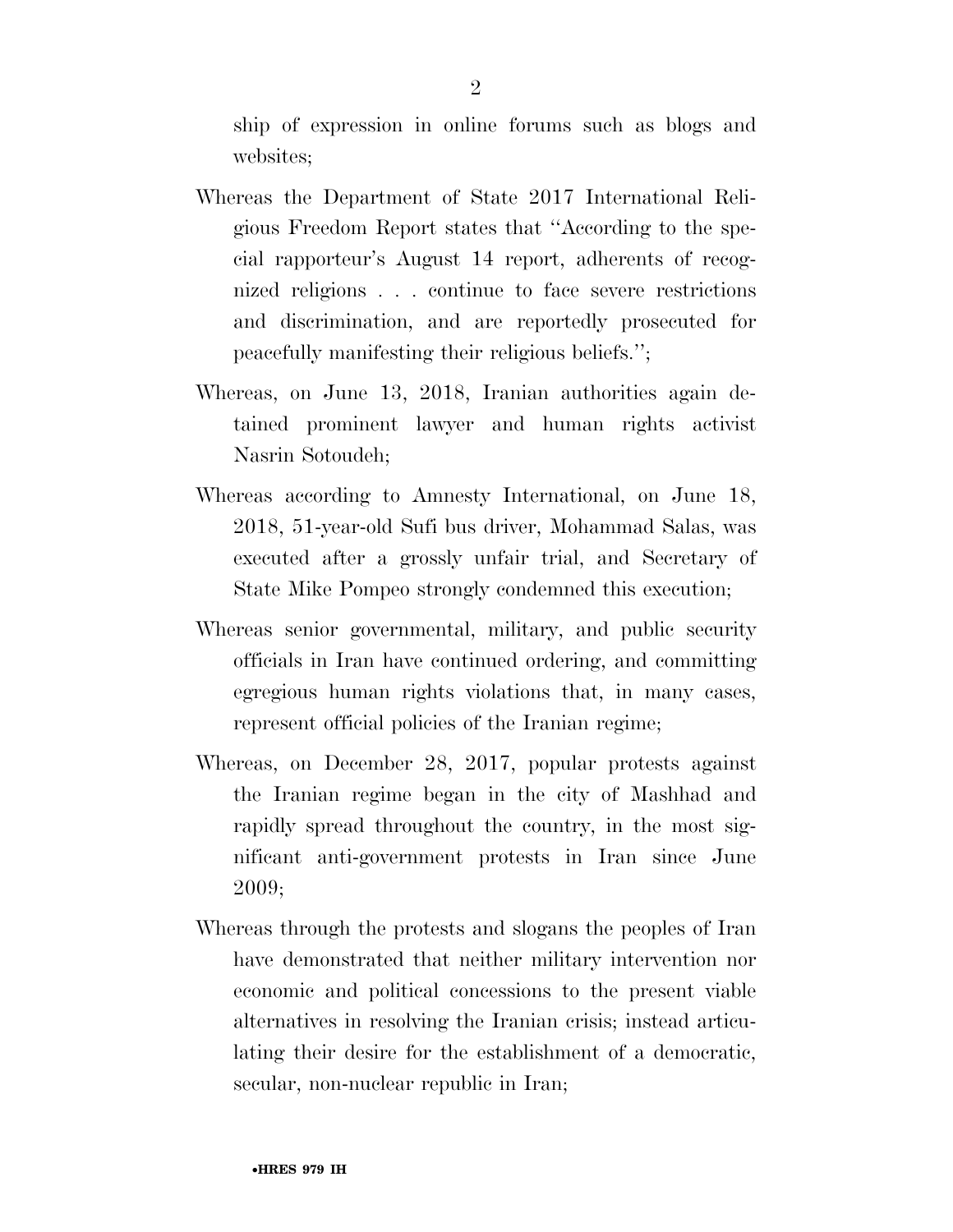ship of expression in online forums such as blogs and websites;

- Whereas the Department of State 2017 International Religious Freedom Report states that ''According to the special rapporteur's August 14 report, adherents of recognized religions . . . continue to face severe restrictions and discrimination, and are reportedly prosecuted for peacefully manifesting their religious beliefs.'';
- Whereas, on June 13, 2018, Iranian authorities again detained prominent lawyer and human rights activist Nasrin Sotoudeh;
- Whereas according to Amnesty International, on June 18, 2018, 51-year-old Sufi bus driver, Mohammad Salas, was executed after a grossly unfair trial, and Secretary of State Mike Pompeo strongly condemned this execution;
- Whereas senior governmental, military, and public security officials in Iran have continued ordering, and committing egregious human rights violations that, in many cases, represent official policies of the Iranian regime;
- Whereas, on December 28, 2017, popular protests against the Iranian regime began in the city of Mashhad and rapidly spread throughout the country, in the most significant anti-government protests in Iran since June 2009;
- Whereas through the protests and slogans the peoples of Iran have demonstrated that neither military intervention nor economic and political concessions to the present viable alternatives in resolving the Iranian crisis; instead articulating their desire for the establishment of a democratic, secular, non-nuclear republic in Iran;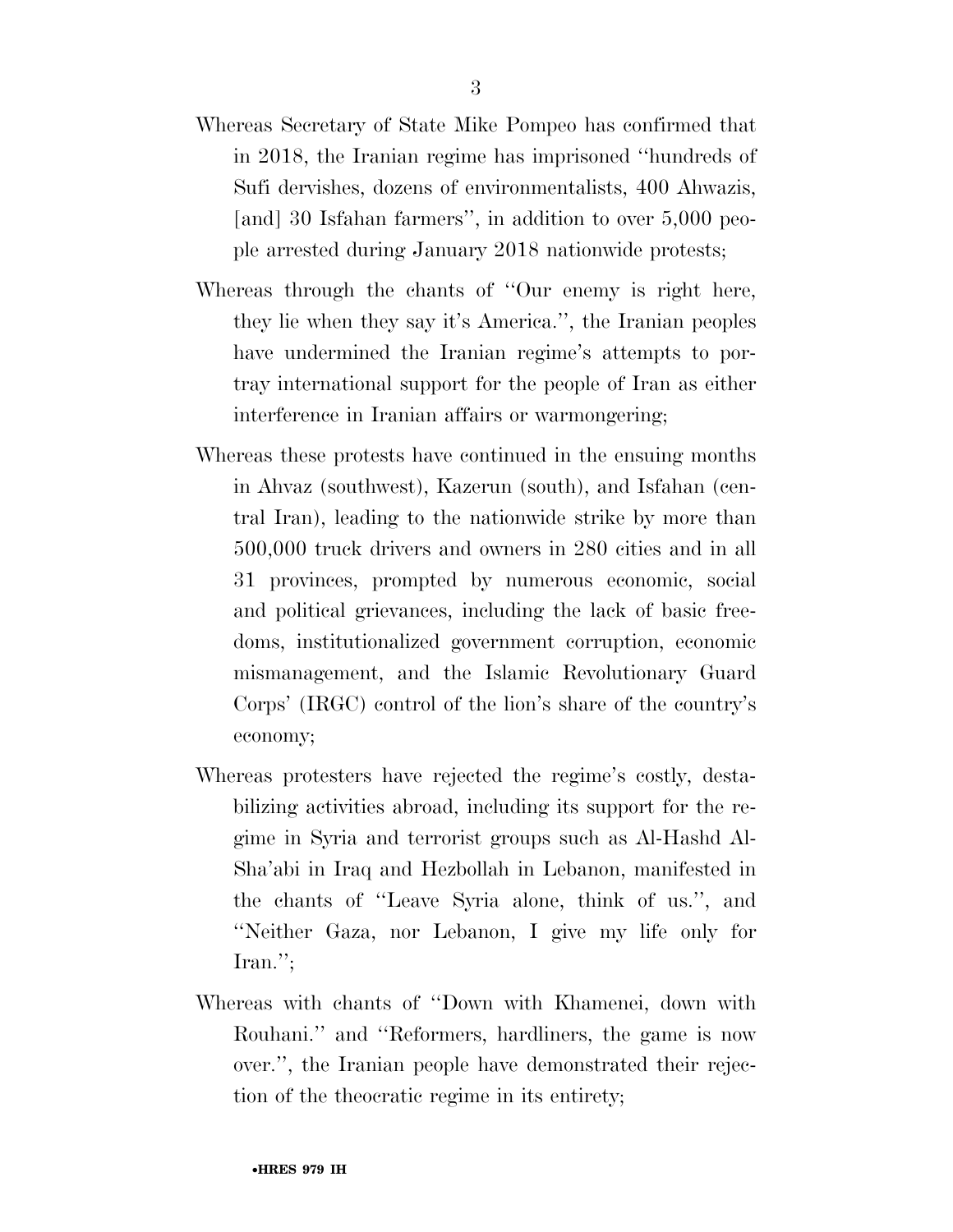- Whereas Secretary of State Mike Pompeo has confirmed that in 2018, the Iranian regime has imprisoned ''hundreds of Sufi dervishes, dozens of environmentalists, 400 Ahwazis, [and] 30 Isfahan farmers'', in addition to over 5,000 people arrested during January 2018 nationwide protests;
- Whereas through the chants of ''Our enemy is right here, they lie when they say it's America.'', the Iranian peoples have undermined the Iranian regime's attempts to portray international support for the people of Iran as either interference in Iranian affairs or warmongering;
- Whereas these protests have continued in the ensuing months in Ahvaz (southwest), Kazerun (south), and Isfahan (central Iran), leading to the nationwide strike by more than 500,000 truck drivers and owners in 280 cities and in all 31 provinces, prompted by numerous economic, social and political grievances, including the lack of basic freedoms, institutionalized government corruption, economic mismanagement, and the Islamic Revolutionary Guard Corps' (IRGC) control of the lion's share of the country's economy;
- Whereas protesters have rejected the regime's costly, destabilizing activities abroad, including its support for the regime in Syria and terrorist groups such as Al-Hashd Al-Sha'abi in Iraq and Hezbollah in Lebanon, manifested in the chants of ''Leave Syria alone, think of us.'', and ''Neither Gaza, nor Lebanon, I give my life only for Iran.'';
- Whereas with chants of ''Down with Khamenei, down with Rouhani.'' and ''Reformers, hardliners, the game is now over.'', the Iranian people have demonstrated their rejection of the theocratic regime in its entirety;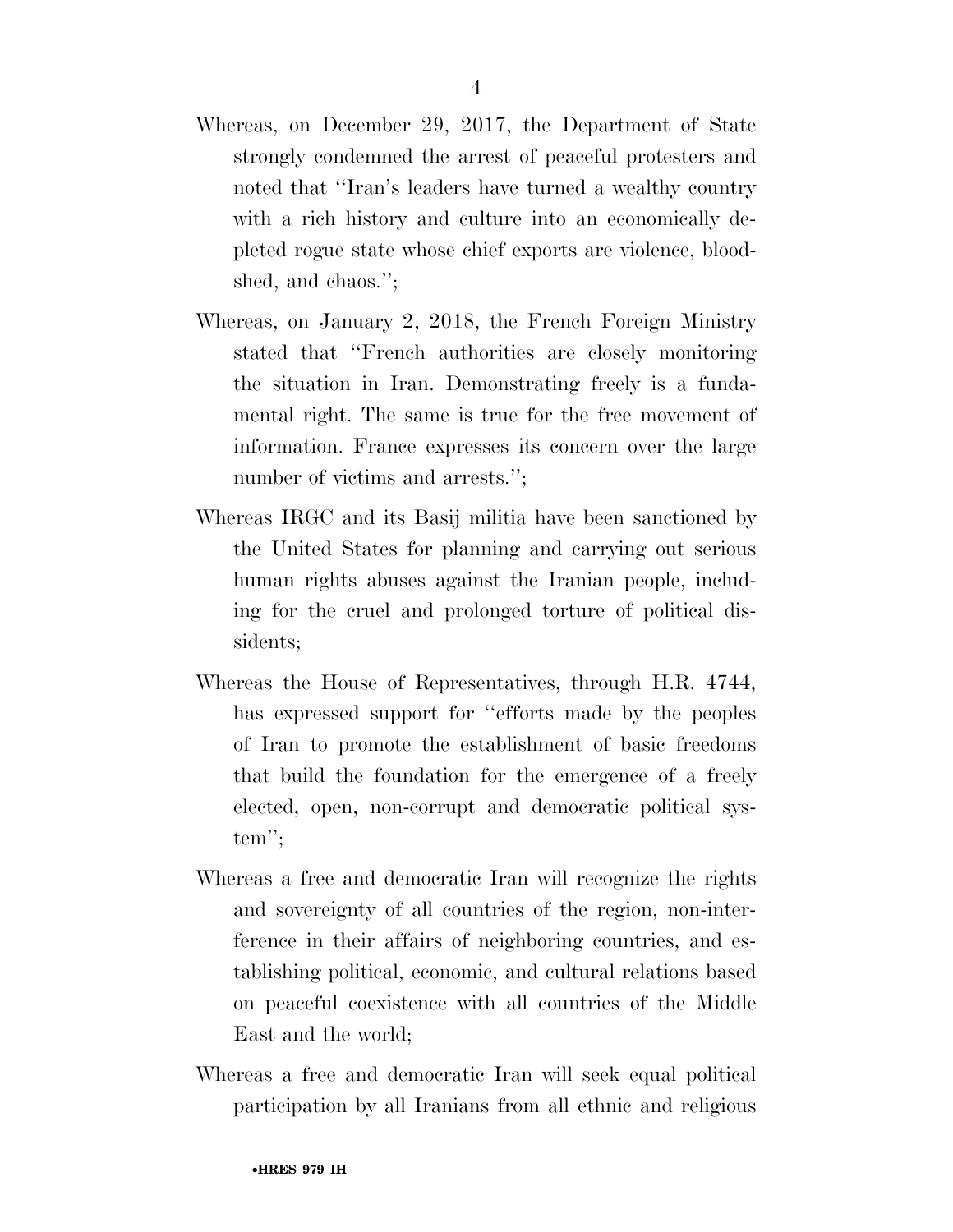- Whereas, on December 29, 2017, the Department of State strongly condemned the arrest of peaceful protesters and noted that ''Iran's leaders have turned a wealthy country with a rich history and culture into an economically depleted rogue state whose chief exports are violence, bloodshed, and chaos.'';
- Whereas, on January 2, 2018, the French Foreign Ministry stated that ''French authorities are closely monitoring the situation in Iran. Demonstrating freely is a fundamental right. The same is true for the free movement of information. France expresses its concern over the large number of victims and arrests.";
- Whereas IRGC and its Basij militia have been sanctioned by the United States for planning and carrying out serious human rights abuses against the Iranian people, including for the cruel and prolonged torture of political dissidents;
- Whereas the House of Representatives, through H.R. 4744, has expressed support for ''efforts made by the peoples of Iran to promote the establishment of basic freedoms that build the foundation for the emergence of a freely elected, open, non-corrupt and democratic political system'';
- Whereas a free and democratic Iran will recognize the rights and sovereignty of all countries of the region, non-interference in their affairs of neighboring countries, and establishing political, economic, and cultural relations based on peaceful coexistence with all countries of the Middle East and the world;
- Whereas a free and democratic Iran will seek equal political participation by all Iranians from all ethnic and religious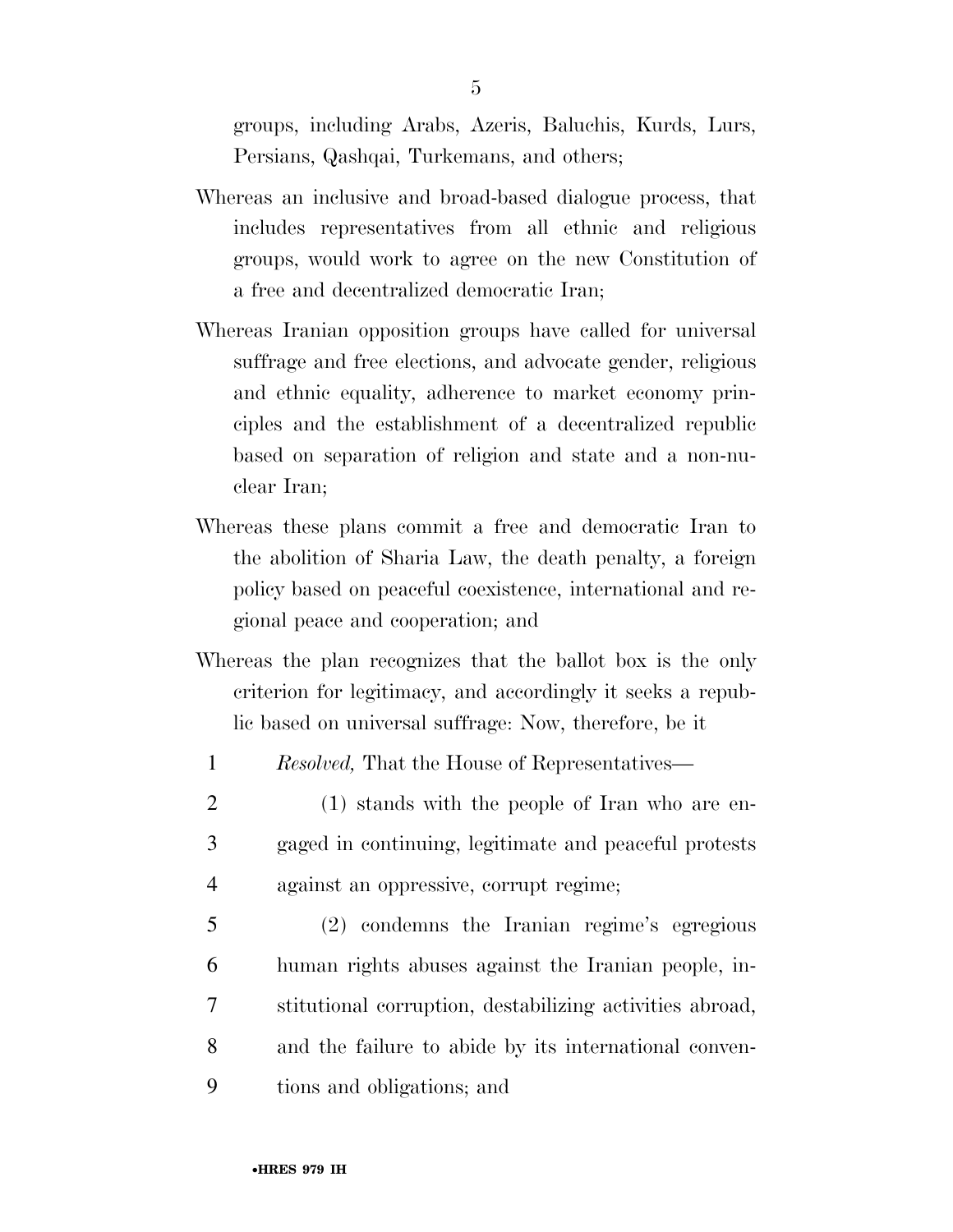groups, including Arabs, Azeris, Baluchis, Kurds, Lurs, Persians, Qashqai, Turkemans, and others;

- Whereas an inclusive and broad-based dialogue process, that includes representatives from all ethnic and religious groups, would work to agree on the new Constitution of a free and decentralized democratic Iran;
- Whereas Iranian opposition groups have called for universal suffrage and free elections, and advocate gender, religious and ethnic equality, adherence to market economy principles and the establishment of a decentralized republic based on separation of religion and state and a non-nuclear Iran;
- Whereas these plans commit a free and democratic Iran to the abolition of Sharia Law, the death penalty, a foreign policy based on peaceful coexistence, international and regional peace and cooperation; and
- Whereas the plan recognizes that the ballot box is the only criterion for legitimacy, and accordingly it seeks a republic based on universal suffrage: Now, therefore, be it
- 1 *Resolved,* That the House of Representatives—
- 2 (1) stands with the people of Iran who are en-3 gaged in continuing, legitimate and peaceful protests 4 against an oppressive, corrupt regime;
- 5 (2) condemns the Iranian regime's egregious 6 human rights abuses against the Iranian people, in-7 stitutional corruption, destabilizing activities abroad, 8 and the failure to abide by its international conven-9 tions and obligations; and